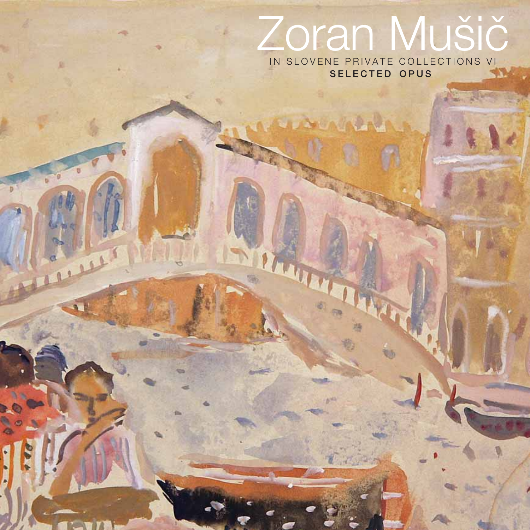# Zoran Mušič IN SLOVENE PRIVATE COLLECTIONS VI

**AB** 

P

 $\overline{a}$ 

SELECTED OPUS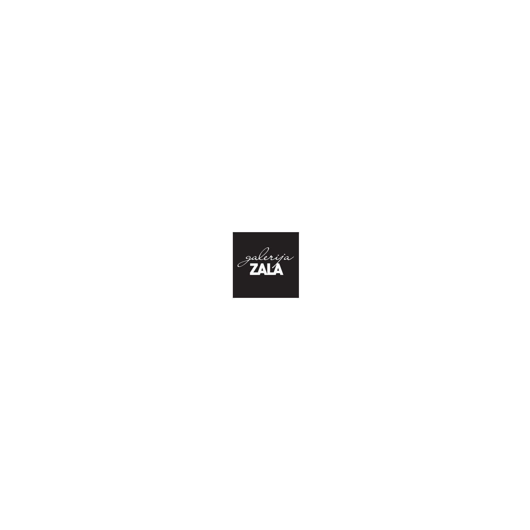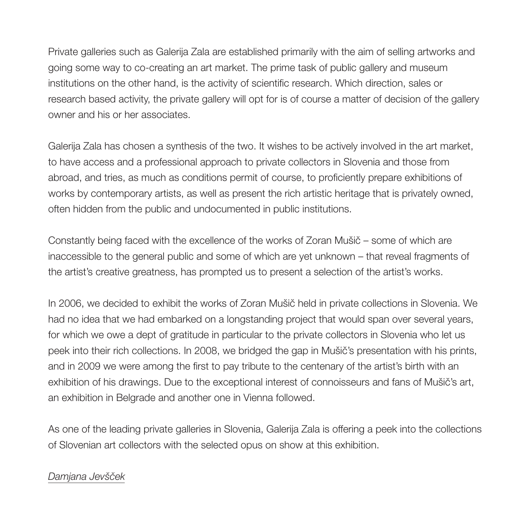Private galleries such as Galerija Zala are established primarily with the aim of selling artworks and going some way to co-creating an art market. The prime task of public gallery and museum institutions on the other hand, is the activity of scientific research. Which direction, sales or research based activity, the private gallery will opt for is of course a matter of decision of the gallery owner and his or her associates.

Galerija Zala has chosen a synthesis of the two. It wishes to be actively involved in the art market, to have access and a professional approach to private collectors in Slovenia and those from abroad, and tries, as much as conditions permit of course, to proficiently prepare exhibitions of works by contemporary artists, as well as present the rich artistic heritage that is privately owned, often hidden from the public and undocumented in public institutions.

Constantly being faced with the excellence of the works of Zoran Mušič – some of which are inaccessible to the general public and some of which are yet unknown – that reveal fragments of the artist's creative greatness, has prompted us to present a selection of the artist's works.

In 2006, we decided to exhibit the works of Zoran Mušič held in private collections in Slovenia. We had no idea that we had embarked on a longstanding project that would span over several years, for which we owe a dept of gratitude in particular to the private collectors in Slovenia who let us peek into their rich collections. In 2008, we bridged the gap in Mušič's presentation with his prints, and in 2009 we were among the first to pay tribute to the centenary of the artist's birth with an exhibition of his drawings. Due to the exceptional interest of connoisseurs and fans of Mušič's art, an exhibition in Belgrade and another one in Vienna followed.

As one of the leading private galleries in Slovenia, Galerija Zala is offering a peek into the collections of Slovenian art collectors with the selected opus on show at this exhibition.

## Damjana Jevšček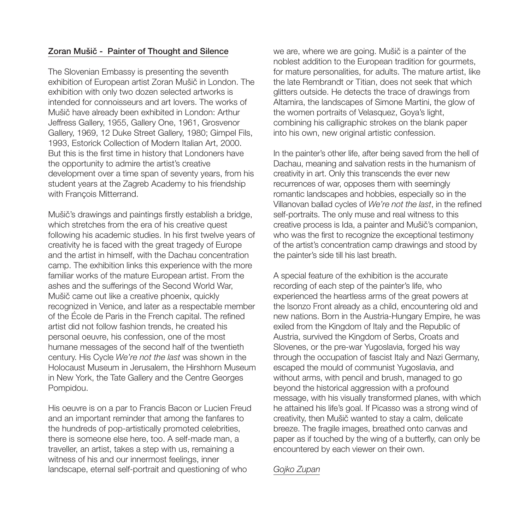## Zoran Mušič - Painter of Thought and Silence

The Slovenian Embassy is presenting the seventh exhibition of European artist Zoran Mušič in London. The exhibition with only two dozen selected artworks is intended for connoisseurs and art lovers. The works of Mušič have already been exhibited in London: Arthur Jeffress Gallery, 1955, Gallery One, 1961, Grosvenor Gallery, 1969, 12 Duke Street Gallery, 1980; Gimpel Fils, 1993, Estorick Collection of Modern Italian Art, 2000. But this is the first time in history that Londoners have the opportunity to admire the artist's creative development over a time span of seventy years, from his student years at the Zagreb Academy to his friendship with Francois Mitterrand.

Mušič's drawings and paintings firstly establish a bridge, which stretches from the era of his creative quest following his academic studies. In his first twelve years of creativity he is faced with the great tragedy of Europe and the artist in himself, with the Dachau concentration camp. The exhibition links this experience with the more familiar works of the mature European artist. From the ashes and the sufferings of the Second World War, Mušič came out like a creative phoenix, quickly recognized in Venice, and later as a respectable member of the École de Paris in the French capital. The refined artist did not follow fashion trends, he created his personal oeuvre, his confession, one of the most humane messages of the second half of the twentieth century. His Cycle We're not the last was shown in the Holocaust Museum in Jerusalem, the Hirshhorn Museum in New York, the Tate Gallery and the Centre Georges Pompidou.

His oeuvre is on a par to Francis Bacon or Lucien Freud and an important reminder that among the fanfares to the hundreds of pop-artistically promoted celebrities, there is someone else here, too. A self-made man, a traveller, an artist, takes a step with us, remaining a witness of his and our innermost feelings, inner landscape, eternal self-portrait and questioning of who

we are, where we are going. Mušič is a painter of the noblest addition to the European tradition for gourmets, for mature personalities, for adults. The mature artist, like the late Rembrandt or Titian, does not seek that which glitters outside. He detects the trace of drawings from Altamira, the landscapes of Simone Martini, the glow of the women portraits of Velasquez, Goya's light, combining his calligraphic strokes on the blank paper into his own, new original artistic confession.

In the painter's other life, after being saved from the hell of Dachau, meaning and salvation rests in the humanism of creativity in art. Only this transcends the ever new recurrences of war, opposes them with seemingly romantic landscapes and hobbies, especially so in the Villanovan ballad cycles of We're not the last, in the refined self-portraits. The only muse and real witness to this creative process is Ida, a painter and Mušič's companion, who was the first to recognize the exceptional testimony of the artist's concentration camp drawings and stood by the painter's side till his last breath.

A special feature of the exhibition is the accurate recording of each step of the painter's life, who experienced the heartless arms of the great powers at the Isonzo Front already as a child, encountering old and new nations. Born in the Austria-Hungary Empire, he was exiled from the Kingdom of Italy and the Republic of Austria, survived the Kingdom of Serbs, Croats and Slovenes, or the pre-war Yugoslavia, forged his way through the occupation of fascist Italy and Nazi Germany, escaped the mould of communist Yugoslavia, and without arms, with pencil and brush, managed to go beyond the historical aggression with a profound message, with his visually transformed planes, with which he attained his life's goal. If Picasso was a strong wind of creativity, then Mušič wanted to stay a calm, delicate breeze. The fragile images, breathed onto canvas and paper as if touched by the wing of a butterfly, can only be encountered by each viewer on their own.

### Gojko Zupan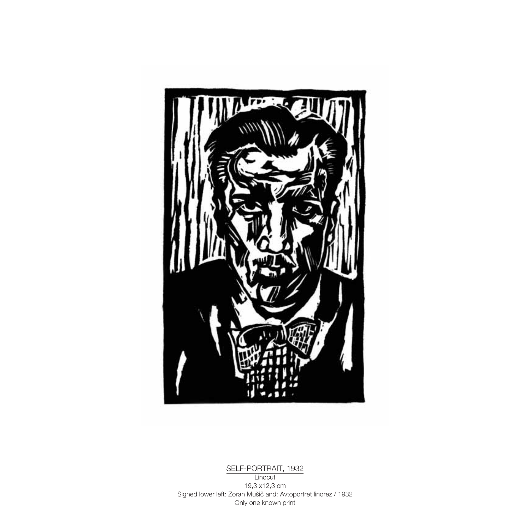

SELF-PORTRAIT, 1932 **Linocut** 19,3 x12,3 cm Signed lower left: Zoran Mušič and: Avtoportret linorez / 1932 Only one known print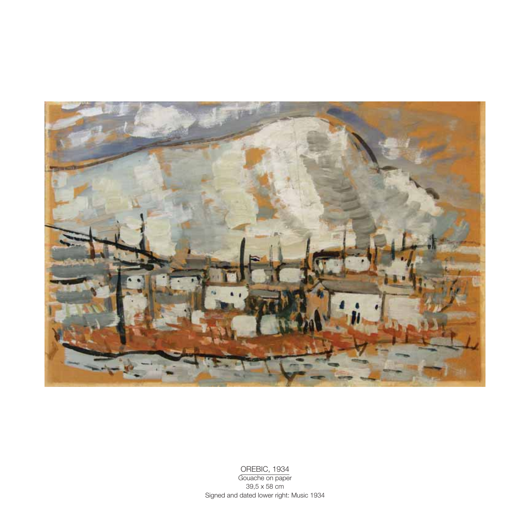

OREBIC, 1934

Gouache on paper 39,5 x 58 cm Signed and dated lower right: Music 1934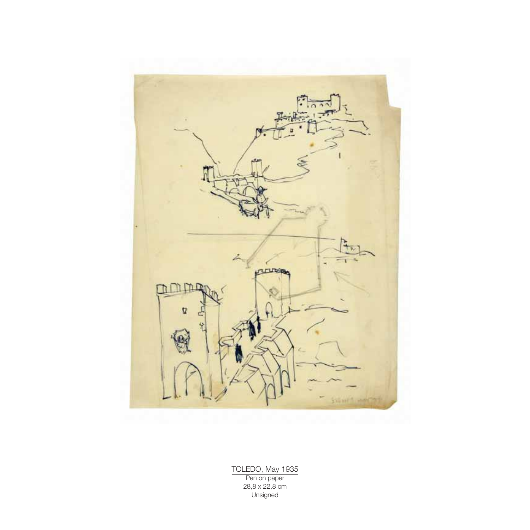

TOLEDO, May 1935 Pen on paper 28,8 x 22,8 cm Unsigned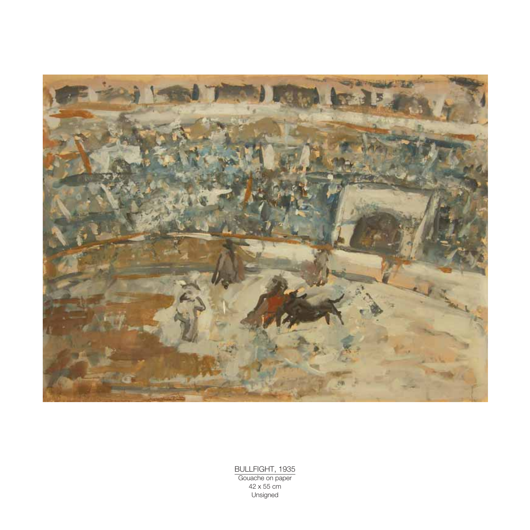

BULLFIGHT, 1935 Gouache on paper 42 x 55 cm Unsigned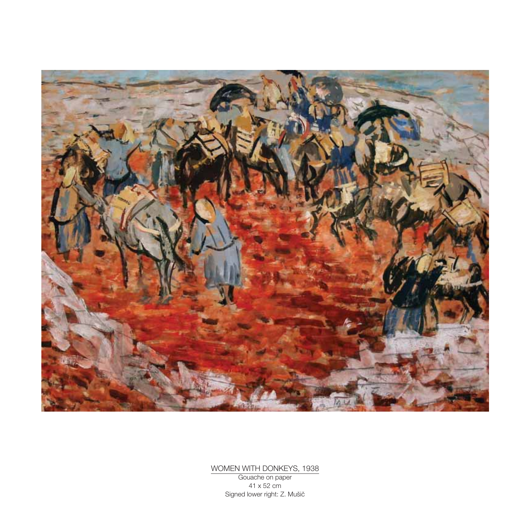

WOMEN WITH DONKEYS, 1938 Gouache on paper 41 x 52 cm

Signed lower right: Z. Mušič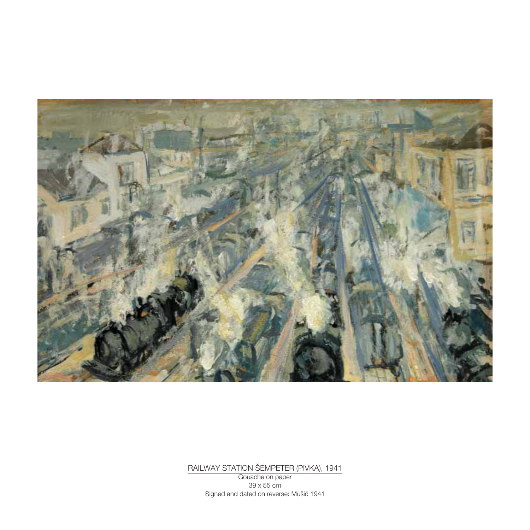

RAILWAY STATION ©EMPETER (PIVKA), 1941

Gouache on paper 39 x 55 cm Signed and dated on reverse: Mušič 1941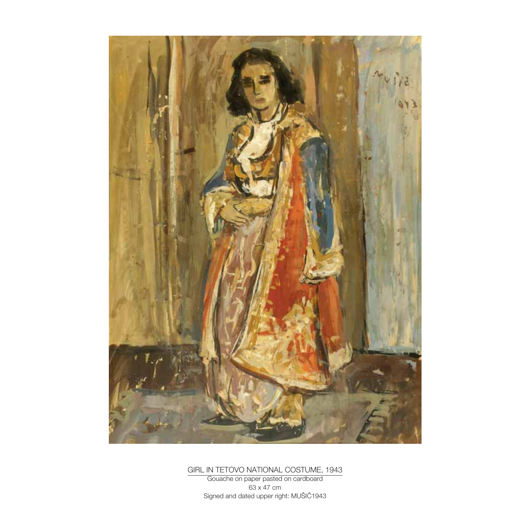

GIRL IN TETOVO NATIONAL COSTUME, 1943

Gouache on paper pasted on cardboard 63 x 47 cm Signed and dated upper right: MUŠIČ1943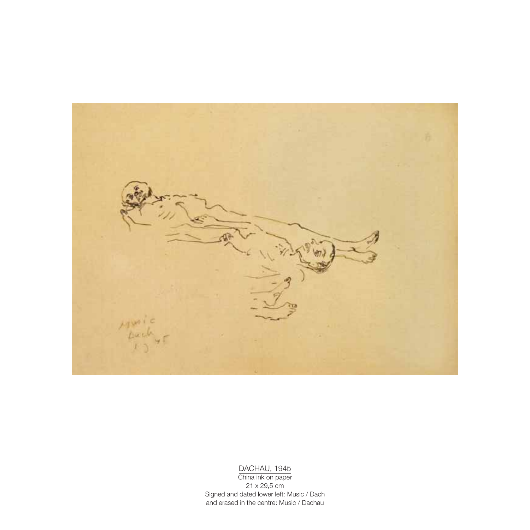

#### DACHAU, 1945

China ink on paper 21 x 29,5 cm Signed and dated lower left: Music / Dach and erased in the centre: Music / Dachau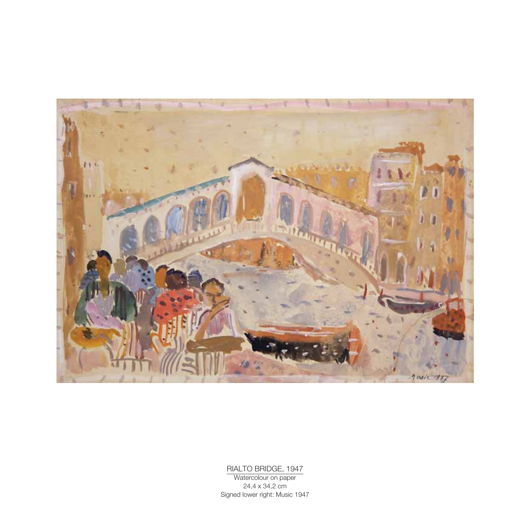

#### RIALTO BRIDGE, 1947

Watercolour on paper 24,4 x 34,2 cm Signed lower right: Music 1947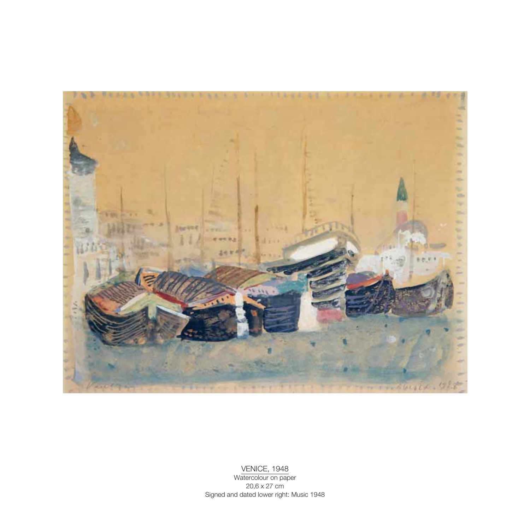

#### VENICE, 1948 Watercolour on paper 20,6 x 27 cm Signed and dated lower right: Music 1948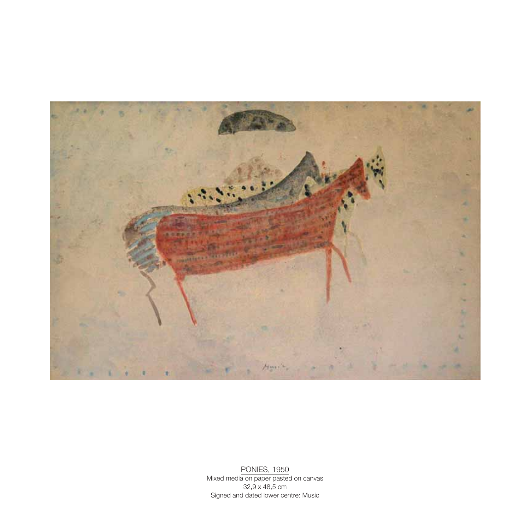

PONIES, 1950 Mixed media on paper pasted on canvas 32,9 x 48,5 cm Signed and dated lower centre: Music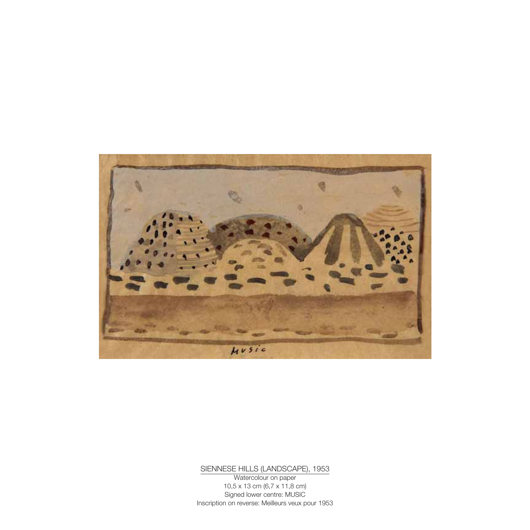

SIENNESE HILLS (LANDSCAPE), 1953

Watercolour on paper 10,5 x 13 cm (6,7 x 11,8 cm) Signed lower centre: MUSIC Inscription on reverse: Meilleurs veux pour 1953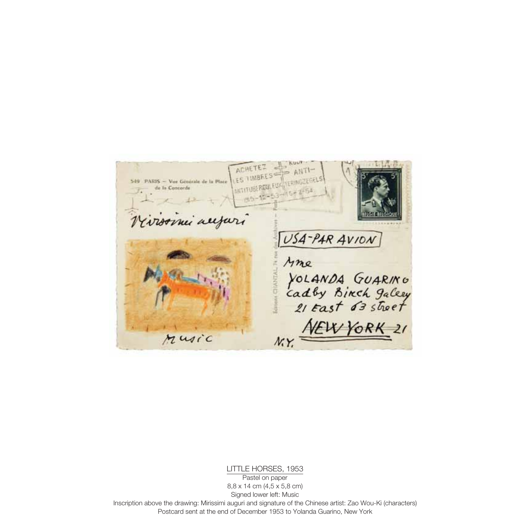ACHETEZ LES TIMBRES 549 PARIS - Vor Generale de la Place **ANTITUBERGU** de la Concorde my all USA-PAR AVION Mme YOLANDA GUARINO<br>Cadby Binch galery<br>21 East 63 street Sciences CHANTA EW YORK  $\overline{21}$ Music N.Y.

LITTLE HORSES, 1953

Pastel on paper 8,8 x 14 cm (4,5 x 5,8 cm) Signed lower left: Music Inscription above the drawing: Mirissimi auguri and signature of the Chinese artist: Zao Wou-Ki (characters) Postcard sent at the end of December 1953 to Yolanda Guarino, New York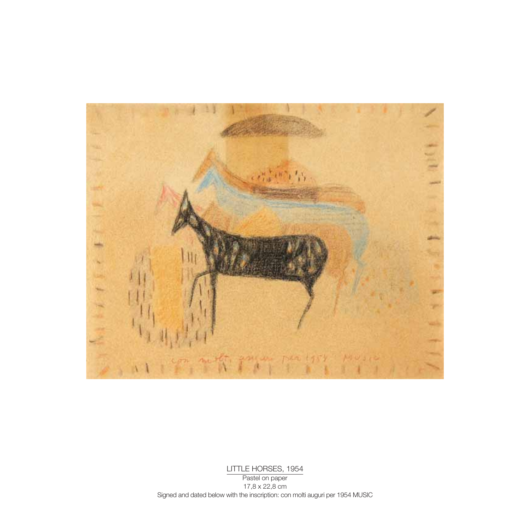

LITTLE HORSES, 1954 Pastel on paper 17,8 x 22,8 cm Signed and dated below with the inscription: con molti auguri per 1954 MUSIC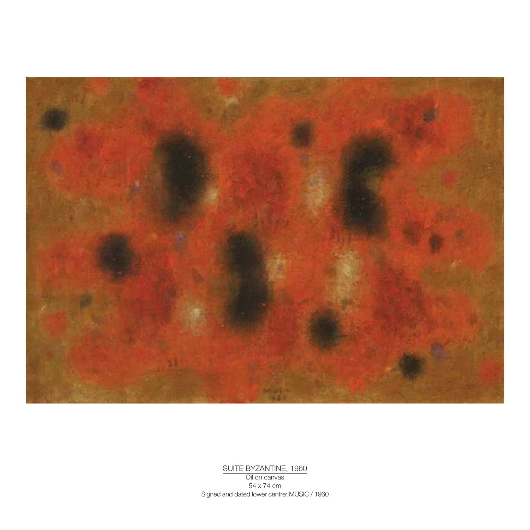

SUITE BYZANTINE, 1960 Oil on canvas 54 x 74 cm Signed and dated lower centre: MUSIC / 1960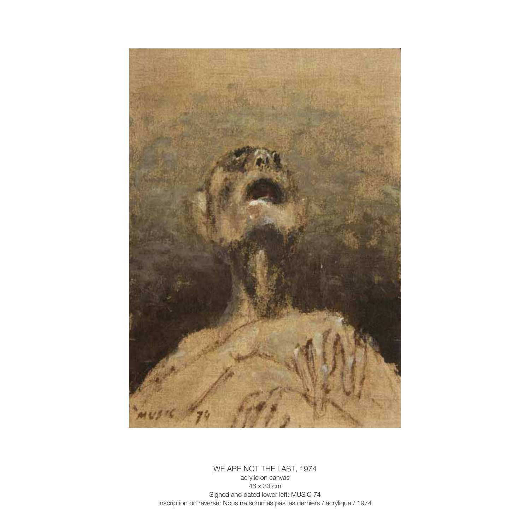

WE ARE NOT THE LAST, 1974

acrylic on canvas 46 x 33 cm Signed and dated lower left: MUSIC 74 Inscription on reverse: Nous ne sommes pas les derniers / acrylique / 1974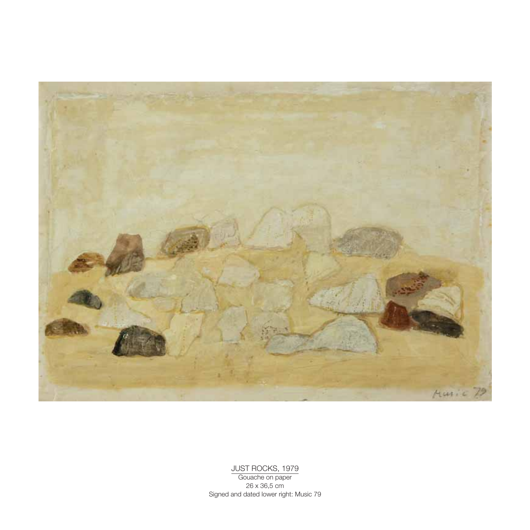

JUST ROCKS, 1979

Gouache on paper 26 x 36,5 cm Signed and dated lower right: Music 79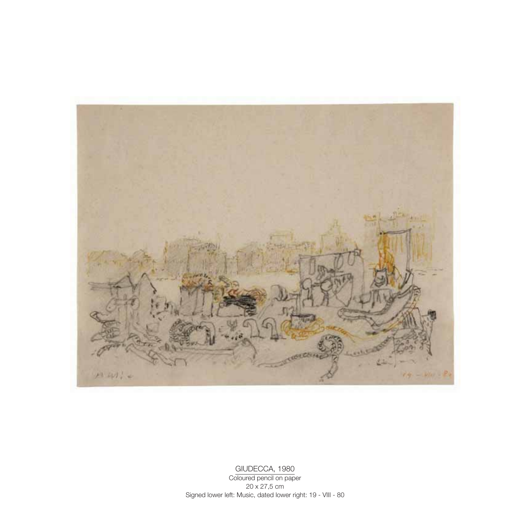

GIUDECCA, 1980

Coloured pencil on paper 20 x 27,5 cm Signed lower left: Music, dated lower right: 19 - VIII - 80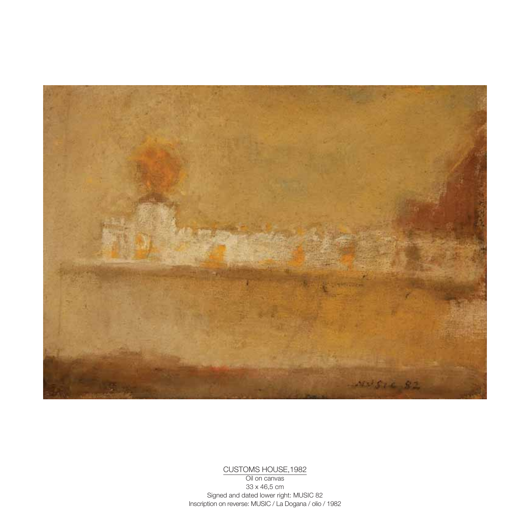

CUSTOMS HOUSE,1982

Oil on canvas 33 x 46,5 cm Signed and dated lower right: MUSIC 82 Inscription on reverse: MUSIC / La Dogana / olio / 1982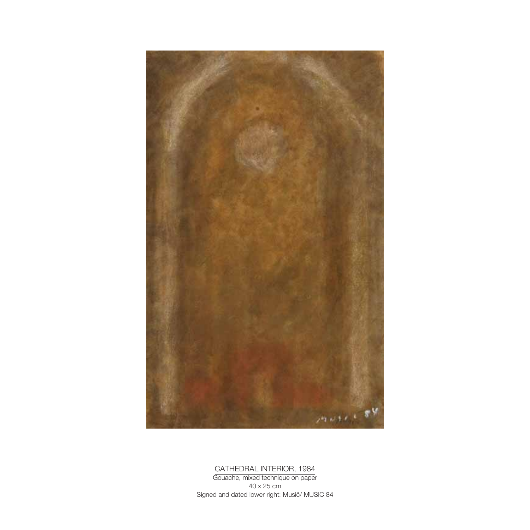

CATHEDRAL INTERIOR, 1984

Gouache, mixed technique on paper 40 x 25 cm Signed and dated lower right: Musič/ MUSIC 84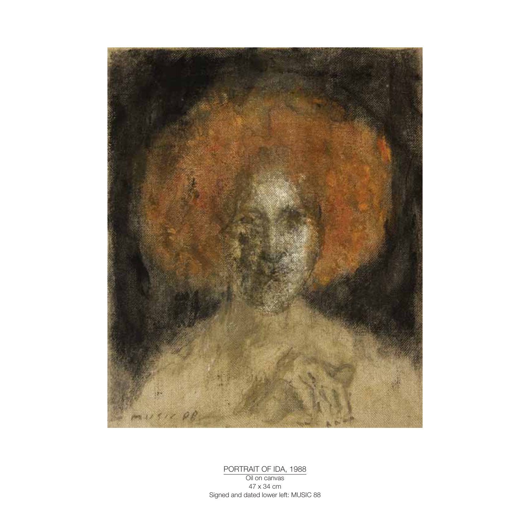

PORTRAIT OF IDA, 1988 Oil on canvas 47 x 34 cm Signed and dated lower left: MUSIC 88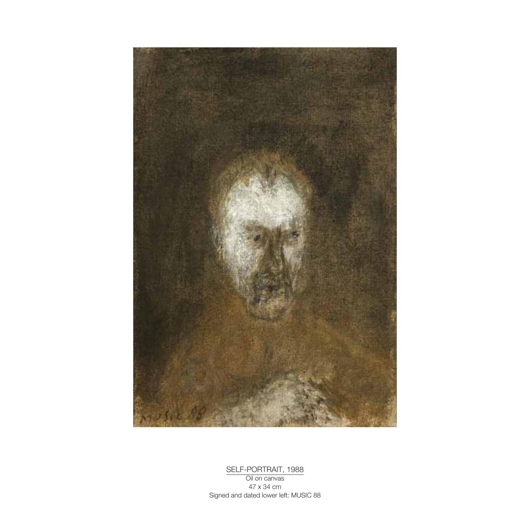

SELF-PORTRAIT, 1988 Oil on canvas 47 x 34 cm Signed and dated lower left: MUSIC 88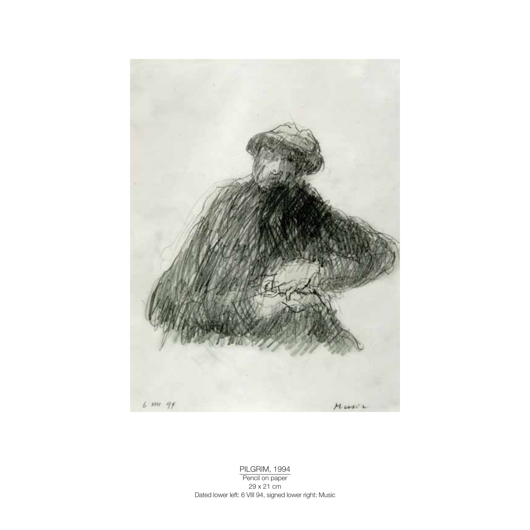

PILGRIM, 1994 Pencil on paper 29 x 21 cm Dated lower left: 6 VIII 94, signed lower right: Music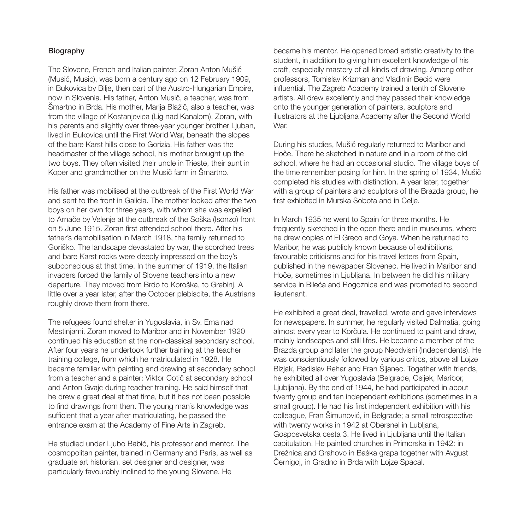#### Biography

The Slovene, French and Italian painter, Zoran Anton Mušič (Musič, Music), was born a century ago on 12 February 1909, in Bukovica by Bilje, then part of the Austro-Hungarian Empire, now in Slovenia. His father, Anton Musič, a teacher, was from Šmartno in Brda. His mother, Marija Blažič, also a teacher, was from the village of Kostanjevica (Lig nad Kanalom). Zoran, with his parents and slightly over three-year younger brother Ljuban, lived in Bukovica until the First World War, beneath the slopes of the bare Karst hills close to Gorizia. His father was the headmaster of the village school, his mother brought up the two boys. They often visited their uncle in Trieste, their aunt in Koper and grandmother on the Musič farm in Šmartno.

His father was mobilised at the outbreak of the First World War and sent to the front in Galicia. The mother looked after the two boys on her own for three years, with whom she was expelled to Arnače by Velenje at the outbreak of the Soška (Isonzo) front on 5 June 1915. Zoran first attended school there. After his father's demobilisation in March 1918, the family returned to Goriško. The landscape devastated by war, the scorched trees and bare Karst rocks were deeply impressed on the boy's subconscious at that time. In the summer of 1919, the Italian invaders forced the family of Slovene teachers into a new departure. They moved from Brdo to Koroška, to Grebinj. A little over a year later, after the October plebiscite, the Austrians roughly drove them from there.

The refugees found shelter in Yugoslavia, in Sv. Ema nad Mestinjami. Zoran moved to Maribor and in November 1920 continued his education at the non-classical secondary school. After four years he undertook further training at the teacher training college, from which he matriculated in 1928. He became familiar with painting and drawing at secondary school from a teacher and a painter: Viktor Cotič at secondary school and Anton Gvajc during teacher training. He said himself that he drew a great deal at that time, but it has not been possible to find drawings from then. The young man's knowledge was sufficient that a year after matriculating, he passed the entrance exam at the Academy of Fine Arts in Zagreb.

He studied under Ljubo Babić, his professor and mentor. The cosmopolitan painter, trained in Germany and Paris, as well as graduate art historian, set designer and designer, was particularly favourably inclined to the young Slovene. He

became his mentor. He opened broad artistic creativity to the student, in addition to giving him excellent knowledge of his craft, especially mastery of all kinds of drawing. Among other professors, Tomislav Krizman and Vladimir Becić were influential. The Zagreb Academy trained a tenth of Slovene artists. All drew excellently and they passed their knowledge onto the younger generation of painters, sculptors and illustrators at the Ljubljana Academy after the Second World War.

During his studies, Mušič regularly returned to Maribor and Hoče. There he sketched in nature and in a room of the old school, where he had an occasional studio. The village boys of the time remember posing for him. In the spring of 1934, Mušič completed his studies with distinction. A year later, together with a group of painters and sculptors of the Brazda group, he first exhibited in Murska Sobota and in Celje.

In March 1935 he went to Spain for three months. He frequently sketched in the open there and in museums, where he drew copies of El Greco and Goya. When he returned to Maribor, he was publicly known because of exhibitions, favourable criticisms and for his travel letters from Spain, published in the newspaper Slovenec. He lived in Maribor and Hoče, sometimes in Ljubljana. In between he did his military service in Bileća and Rogoznica and was promoted to second lieutenant.

He exhibited a great deal, travelled, wrote and gave interviews for newspapers. In summer, he regularly visited Dalmatia, going almost every year to Korčula. He continued to paint and draw, mainly landscapes and still lifes. He became a member of the Brazda group and later the group Neodvisni (Independents). He was conscientiously followed by various critics, above all Lojze Bizjak, Radislav Rehar and Fran Šijanec. Together with friends, he exhibited all over Yugoslavia (Belgrade, Osijek, Maribor, Ljubljana). By the end of 1944, he had participated in about twenty group and ten independent exhibitions (sometimes in a small group). He had his first independent exhibition with his colleague, Fran Šimunović, in Belgrade; a small retrospective with twenty works in 1942 at Obersnel in Lubljana, Gosposvetska cesta 3. He lived in Ljubljana until the Italian capitulation. He painted churches in Primorska in 1942: in Drežnica and Grahovo in Baška grapa together with Avgust Černigoj, in Gradno in Brda with Lojze Spacal.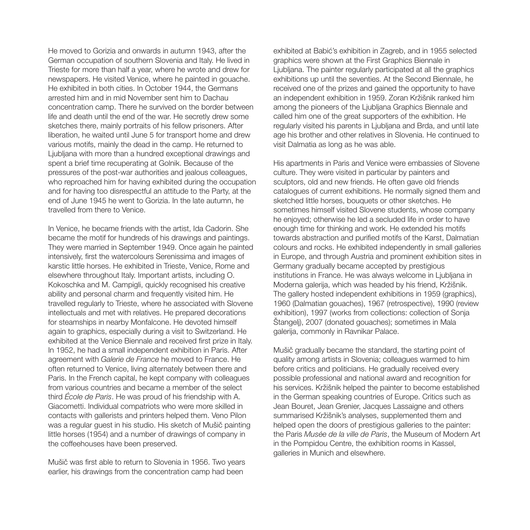He moved to Gorizia and onwards in autumn 1943, after the German occupation of southern Slovenia and Italy. He lived in Trieste for more than half a year, where he wrote and drew for newspapers. He visited Venice, where he painted in gouache. He exhibited in both cities. In October 1944, the Germans arrested him and in mid November sent him to Dachau concentration camp. There he survived on the border between life and death until the end of the war. He secretly drew some sketches there, mainly portraits of his fellow prisoners. After liberation, he waited until June 5 for transport home and drew various motifs, mainly the dead in the camp. He returned to Ljubljana with more than a hundred exceptional drawings and spent a brief time recuperating at Golnik. Because of the pressures of the post-war authorities and jealous colleagues, who reproached him for having exhibited during the occupation and for having too disrespectful an attitude to the Party, at the end of June 1945 he went to Gorizia. In the late autumn, he travelled from there to Venice.

In Venice, he became friends with the artist, Ida Cadorin. She became the motif for hundreds of his drawings and paintings. They were married in September 1949. Once again he painted intensively, first the watercolours Serenissima and images of karstic little horses. He exhibited in Trieste, Venice, Rome and elsewhere throughout Italy. Important artists, including O. Kokoschka and M. Campigli, quickly recognised his creative ability and personal charm and frequently visited him. He travelled regularly to Trieste, where he associated with Slovene intellectuals and met with relatives. He prepared decorations for steamships in nearby Monfalcone. He devoted himself again to graphics, especially during a visit to Switzerland. He exhibited at the Venice Biennale and received first prize in Italy. In 1952, he had a small independent exhibition in Paris. After agreement with Galerie de France he moved to France. He often returned to Venice, living alternately between there and Paris. In the French capital, he kept company with colleagues from various countries and became a member of the select third *École de Paris*. He was proud of his friendship with A. Giacometti. Individual compatriots who were more skilled in contacts with gallerists and printers helped them. Veno Pilon was a regular guest in his studio. His sketch of Mušič painting little horses (1954) and a number of drawings of company in the coffeehouses have been preserved.

Mušič was first able to return to Slovenia in 1956. Two years earlier, his drawings from the concentration camp had been

exhibited at Babić's exhibition in Zagreb, and in 1955 selected graphics were shown at the First Graphics Biennale in Ljubljana. The painter regularly participated at all the graphics exhibitions up until the seventies. At the Second Biennale, he received one of the prizes and gained the opportunity to have an independent exhibition in 1959. Zoran Kržišnik ranked him among the pioneers of the Ljubljana Graphics Biennale and called him one of the great supporters of the exhibition. He regularly visited his parents in Ljubljana and Brda, and until late age his brother and other relatives in Slovenia. He continued to visit Dalmatia as long as he was able.

His apartments in Paris and Venice were embassies of Slovene culture. They were visited in particular by painters and sculptors, old and new friends. He often gave old friends catalogues of current exhibitions. He normally signed them and sketched little horses, bouquets or other sketches. He sometimes himself visited Slovene students, whose company he enjoyed; otherwise he led a secluded life in order to have enough time for thinking and work. He extended his motifs towards abstraction and purified motifs of the Karst, Dalmatian colours and rocks. He exhibited independently in small galleries in Europe, and through Austria and prominent exhibition sites in Germany gradually became accepted by prestigious institutions in France. He was always welcome in Ljubljana in Moderna galerija, which was headed by his friend, Kržišnik. The gallery hosted independent exhibitions in 1959 (graphics), 1960 (Dalmatian gouaches), 1967 (retrospective), 1990 (review exhibition), 1997 (works from collections: collection of Sonia Štangelj), 2007 (donated gouaches); sometimes in Mala galerija, commonly in Ravnikar Palace.

Mušič gradually became the standard, the starting point of quality among artists in Slovenia; colleagues warmed to him before critics and politicians. He gradually received every possible professional and national award and recognition for his services. Kržišnik helped the painter to become established in the German speaking countries of Europe. Critics such as Jean Bouret, Jean Grenier, Jacques Lassaigne and others summarised Kržišnik's analyses, supplemented them and helped open the doors of prestigious galleries to the painter: the Paris Musée de la ville de Paris, the Museum of Modern Art in the Pompidou Centre, the exhibition rooms in Kassel, galleries in Munich and elsewhere.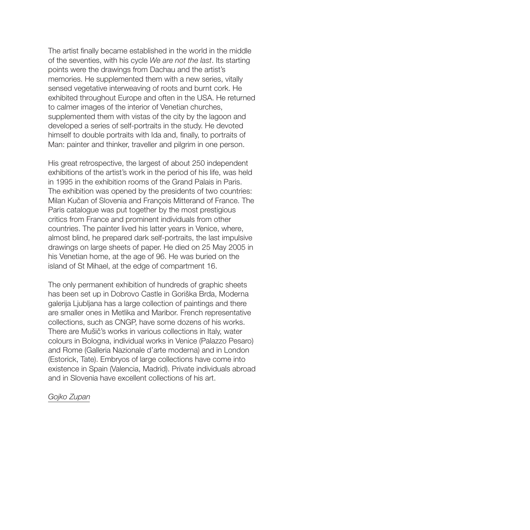The artist finally became established in the world in the middle of the seventies, with his cycle We are not the last. Its starting points were the drawings from Dachau and the artist's memories. He supplemented them with a new series, vitally sensed vegetative interweaving of roots and burnt cork. He exhibited throughout Europe and often in the USA. He returned to calmer images of the interior of Venetian churches, supplemented them with vistas of the city by the lagoon and developed a series of self-portraits in the study. He devoted himself to double portraits with Ida and, finally, to portraits of Man: painter and thinker, traveller and pilgrim in one person.

His great retrospective, the largest of about 250 independent exhibitions of the artist's work in the period of his life, was held in 1995 in the exhibition rooms of the Grand Palais in Paris. The exhibition was opened by the presidents of two countries: Milan Kučan of Slovenia and François Mitterand of France. The Paris catalogue was put together by the most prestigious critics from France and prominent individuals from other countries. The painter lived his latter years in Venice, where, almost blind, he prepared dark self-portraits, the last impulsive drawings on large sheets of paper. He died on 25 May 2005 in his Venetian home, at the age of 96. He was buried on the island of St Mihael, at the edge of compartment 16.

The only permanent exhibition of hundreds of graphic sheets has been set up in Dobrovo Castle in Goriška Brda, Moderna galerija Ljubljana has a large collection of paintings and there are smaller ones in Metlika and Maribor. French representative collections, such as CNGP, have some dozens of his works. There are Mušič's works in various collections in Italy, water colours in Bologna, individual works in Venice (Palazzo Pesaro) and Rome (Galleria Nazionale d'arte moderna) and in London (Estorick, Tate). Embryos of large collections have come into existence in Spain (Valencia, Madrid). Private individuals abroad and in Slovenia have excellent collections of his art.

#### Gojko Zupan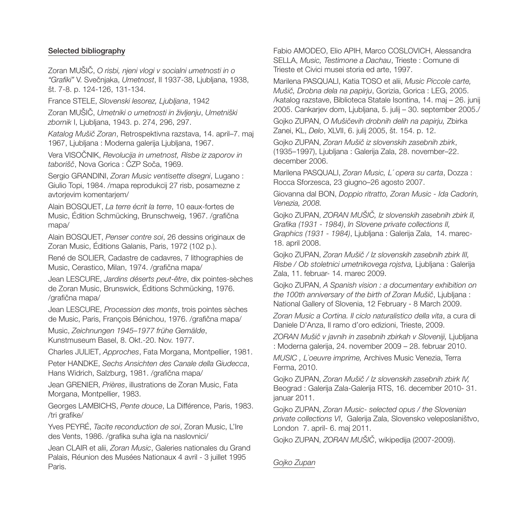## Selected bibliography

Zoran MUŠIČ, O risbi, njeni vlogi v socialni umetnosti in o "Grafiki" V. Svečnjaka, Umetnost, II 1937-38, Ljubljana, 1938, št. 7-8. p. 124-126, 131-134.

France STELE, Slovenski lesorez, Ljubljana, 1942

Zoran MUŠIČ, Umetniki o umetnosti in življenju, Umetniški zbornik I, Ljubljana, 1943. p. 274, 296, 297.

Katalog Mušič Zoran, Retrospektivna razstava, 14. april–7. maj 1967, Ljubljana : Moderna galerija Ljubljana, 1967.

Vera VISOČNIK, Revolucija in umetnost, Risbe iz zaporov in taborišč, Nova Gorica : ČZP Soča, 1969.

Sergio GRANDINI, Zoran Music ventisette disegni, Lugano : Giulio Topi, 1984. /mapa reprodukcij 27 risb, posamezne z avtorjevim komentarjem/

Alain BOSQUET, La terre écrit la terre, 10 eaux-fortes de Music, Édition Schmücking, Brunschweig, 1967. /grafična mapa/

Alain BOSQUET, Penser contre soi, 26 dessins originaux de Zoran Music, Éditions Galanis, Paris, 1972 (102 p.).

René de SOLIER, Cadastre de cadavres, 7 lithographies de Music, Cerastico, Milan, 1974. /grafična mapa/

Jean LESCURE, Jardins déserts peut-être, dix pointes-sèches de Zoran Music, Brunswick, Éditions Schmücking, 1976. /grafična mapa/

Jean LESCURE, Procession des monts, trois pointes sèches de Music, Paris, François Bénichou, 1976. /grafična mapa/

Music, Zeichnungen 1945–1977 frühe Gemälde, Kunstmuseum Basel, 8. Okt.-20. Nov. 1977.

Charles JULIET, Approches, Fata Morgana, Montpellier, 1981.

Peter HANDKE, Sechs Ansichten des Canale della Giudecca, Hans Widrich, Salzburg, 1981. /grafična mapa/

Jean GRENIER, Prières, illustrations de Zoran Music, Fata Morgana, Montpellier, 1983.

Georges LAMBICHS, Pente douce, La Différence, Paris, 1983. /tri grafike/

Yves PEYRÉ, Tacite reconduction de soi, Zoran Music, L'Ire des Vents, 1986. /grafika suha igla na naslovnici/

Jean CLAIR et alii, Zoran Music, Galeries nationales du Grand Palais, Réunion des Musées Nationaux 4 avril - 3 juillet 1995 Paris.

Fabio AMODEO, Elio APIH, Marco COSLOVICH, Alessandra SELLA, Music, Testimone a Dachau, Trieste : Comune di Trieste et Civici musei storia ed arte, 1997.

Marilena PASQUALI, Katia TOSO et alii, Music Piccole carte, Mušič, Drobna dela na papirju, Gorizia, Gorica : LEG, 2005. /katalog razstave, Biblioteca Statale Isontina, 14. maj – 26. junij 2005. Cankarjev dom, Ljubljana, 5. julij – 30. september 2005./

Gojko ZUPAN, O Mušičevih drobnih delih na papirju, Zbirka Zanei, KL, Delo, XLVII, 6. julij 2005, št. 154. p. 12.

Gojko ZUPAN, Zoran Mušič iz slovenskih zasebnih zbirk, (1935–1997), Ljubljana : Galerija Zala, 28. november–22. december 2006.

Marilena PASQUALI, Zoran Music, L´ opera su carta, Dozza : Rocca Sforzesca, 23 giugno–26 agosto 2007.

Giovanna dal BON, Doppio ritratto, Zoran Music - Ida Cadorin, Venezia, 2008.

Gojko ZUPAN, ZORAN MUŠIČ, Iz slovenskih zasebnih zbirk II, Grafika (1931 - 1984), In Slovene private collections II, Graphics (1931 - 1984), Ljubljana : Galerija Zala, 14. marec-18. april 2008.

Gojko ZUPAN, Zoran Mušič / Iz slovenskih zasebnih zbirk III, Risbe / Ob stoletnici umetnikovega rojstva, Ljubljana : Galerija Zala, 11. februar- 14. marec 2009.

Gojko ZUPAN, A Spanish vision : a documentary exhibition on the 100th anniversary of the birth of Zoran Mušič, Liubliana : National Gallery of Slovenia, 12 February - 8 March 2009.

Zoran Music a Cortina. Il ciclo naturalistico della vita, a cura di Daniele D'Anza, Il ramo d'oro edizioni, Trieste, 2009.

ZORAN Mušič v javnih in zasebnih zbirkah v Sloveniji, Ljubljana : Moderna galerija, 24. november 2009 – 28. februar 2010.

MUSIC , L`oeuvre imprime, Archives Music Venezia, Terra Ferma, 2010.

Gojko ZUPAN, Zoran Mušič / Iz slovenskih zasebnih zbirk IV, Beograd : Galerija Zala-Galerija RTS, 16. december 2010- 31. januar 2011.

Gojko ZUPAN, Zoran Music- selected opus / the Slovenian private collections VI, Galerija Zala, Slovensko veleposlaništvo, London 7. april- 6. maj 2011.

Gojko ZUPAN, ZORAN MUŠIČ, wikipedija (2007-2009).

Gojko Zupan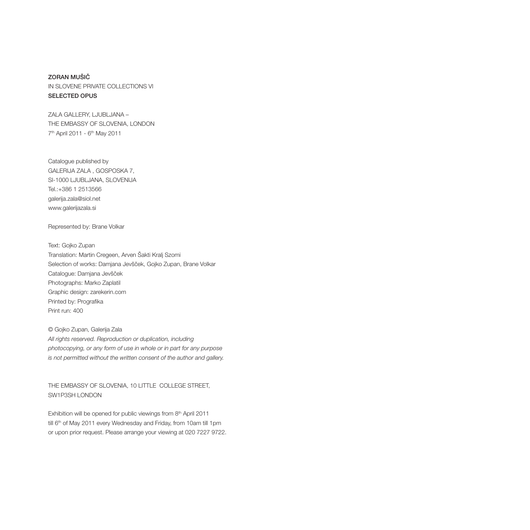## ZORAN MUŠIČ IN SLOVENE PRIVATE COLLECTIONS VI

#### SELECTED OPUS

ZALA GALLERY, LJUBLJANA – THE EMBASSY OF SLOVENIA, LONDON 7th April 2011 - 6th May 2011

Catalogue published by GALERIJA ZALA , GOSPOSKA 7, SI-1000 LJUBLJANA, SLOVENIJA Tel.:+386 1 2513566 galerija.zala@siol.net www.galerijazala.si

Represented by: Brane Volkar

Text: Gojko Zupan Translation: Martin Cregeen, Arven Šakti Kralj Szomi Selection of works: Damjana Jevšček, Gojko Zupan, Brane Volkar Catalogue: Damjana Jevšček Photographs: Marko Zaplatil Graphic design: zarekerin.com Printed by: Prografika Print run: 400

© Gojko Zupan, Galerija Zala All rights reserved. Reproduction or duplication, including photocopying, or any form of use in whole or in part for any purpose is not permitted without the written consent of the author and gallery.

THE EMBASSY OF SLOVENIA, 10 LITTLE COLLEGE STREET, SW1P3SH LONDON

Exhibition will be opened for public viewings from 8th April 2011 till 6<sup>th</sup> of May 2011 every Wednesday and Friday, from 10am till 1pm or upon prior request. Please arrange your viewing at 020 7227 9722.